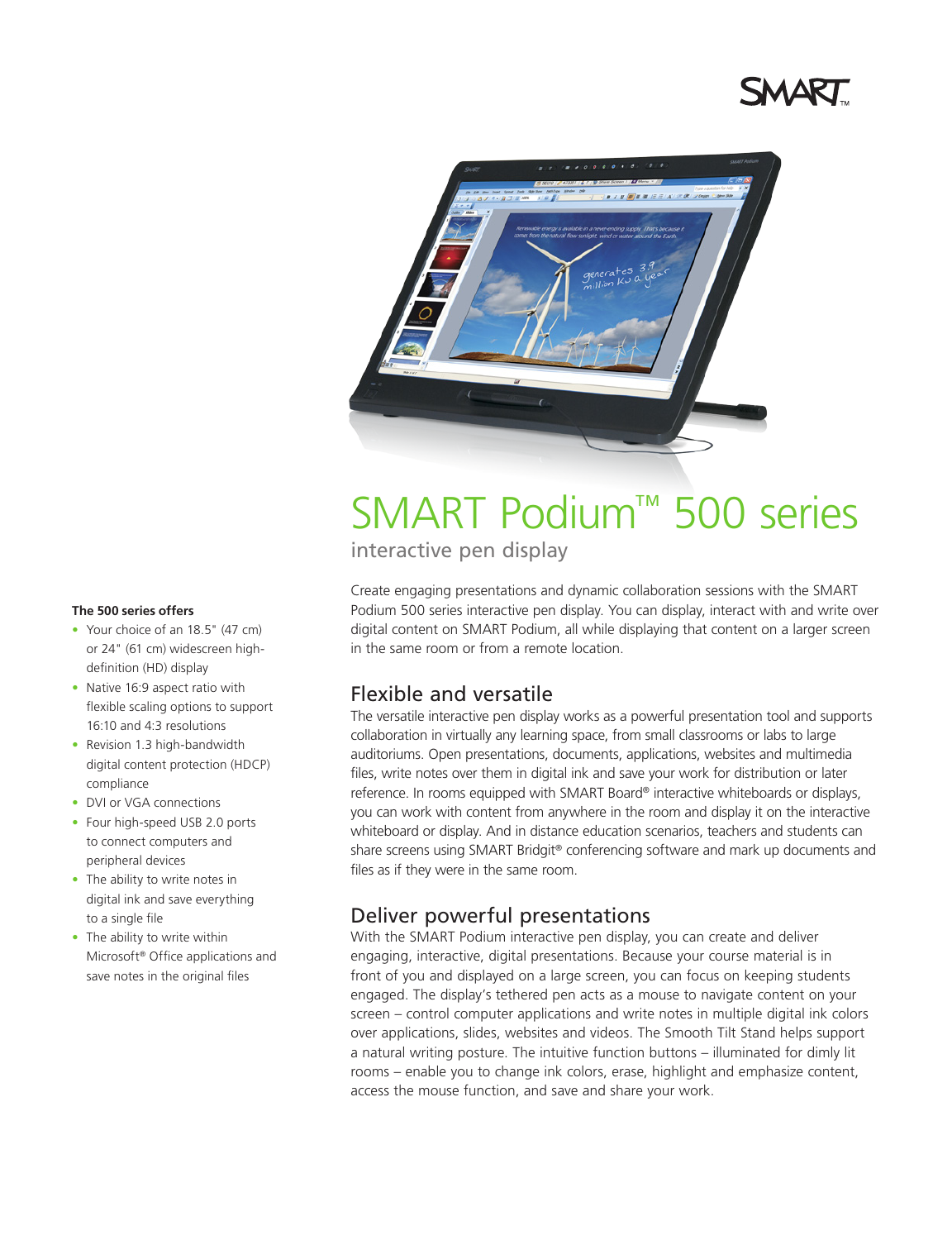

# SMART Podium™ 500 series

interactive pen display

Create engaging presentations and dynamic collaboration sessions with the SMART Podium 500 series interactive pen display. You can display, interact with and write over digital content on SMART Podium, all while displaying that content on a larger screen in the same room or from a remote location.

# Flexible and versatile

The versatile interactive pen display works as a powerful presentation tool and supports collaboration in virtually any learning space, from small classrooms or labs to large auditoriums. Open presentations, documents, applications, websites and multimedia files, write notes over them in digital ink and save your work for distribution or later reference. In rooms equipped with SMART Board® interactive whiteboards or displays, you can work with content from anywhere in the room and display it on the interactive whiteboard or display. And in distance education scenarios, teachers and students can share screens using SMART Bridgit® conferencing software and mark up documents and files as if they were in the same room.

# Deliver powerful presentations

With the SMART Podium interactive pen display, you can create and deliver engaging, interactive, digital presentations. Because your course material is in front of you and displayed on a large screen, you can focus on keeping students engaged. The display's tethered pen acts as a mouse to navigate content on your screen – control computer applications and write notes in multiple digital ink colors over applications, slides, websites and videos. The Smooth Tilt Stand helps support a natural writing posture. The intuitive function buttons – illuminated for dimly lit rooms – enable you to change ink colors, erase, highlight and emphasize content, access the mouse function, and save and share your work.

#### **The 500 series offers**

- Your choice of an 18.5" (47 cm) or 24" (61 cm) widescreen highdefinition (HD) display
- Native 16:9 aspect ratio with flexible scaling options to support 16:10 and 4:3 resolutions
- Revision 1.3 high-bandwidth digital content protection (HDCP) compliance
- DVI or VGA connections
- Four high-speed USB 2.0 ports to connect computers and peripheral devices
- The ability to write notes in digital ink and save everything to a single file
- The ability to write within Microsoft® Office applications and save notes in the original files